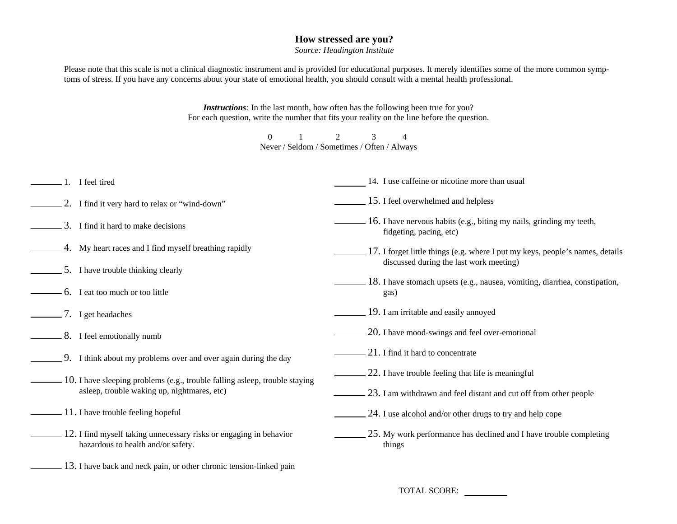## **How stressed are you?**

*Source: Headington Institute* 

Please note that this scale is not a clinical diagnostic instrument and is provided for educational purposes. It merely identifies some of the more common symptoms of stress. If you have any concerns about your state of emotional health, you should consult with a mental health professional.

> *Instructions:* In the last month, how often has the following been true for you? For each question, write the number that fits your reality on the line before the question.

 0 1 2 3 4 Never / Seldom / Sometimes / Often / Always

1. I feel tired 2. I find it very hard to relax or "wind-down"  $\sim$  3. I find it hard to make decisions 4. My heart races and I find myself breathing rapidly 5. I have trouble thinking clearly 6. I eat too much or too little 7. I get headaches **8.** I feel emotionally numb 9. I think about my problems over and over again during the day 10. I have sleeping problems (e.g., trouble falling asleep, trouble staying asleep, trouble waking up, nightmares, etc)  $11.$  I have trouble feeling hopeful  $-12$ . I find myself taking unnecessary risks or engaging in behavior hazardous to health and/or safety. 13. I have back and neck pain, or other chronic tension-linked pain 14. I use caffeine or nicotine more than usual 15. I feel overwhelmed and helpless **16.** I have nervous habits (e.g., biting my nails, grinding my teeth, fidgeting, pacing, etc) 17. I forget little things (e.g. where I put my keys, people's names, details discussed during the last work meeting) 18. I have stomach upsets (e.g., nausea, vomiting, diarrhea, constipation, gas) 19. I am irritable and easily annoyed 20. I have mood-swings and feel over-emotional  $21.$  I find it hard to concentrate  $\sim$  22. I have trouble feeling that life is meaningful  $\sim$  23. I am withdrawn and feel distant and cut off from other people  $24.$  I use alcohol and/or other drugs to try and help cope  $\sim$  25. My work performance has declined and I have trouble completing things

TOTAL SCORE: